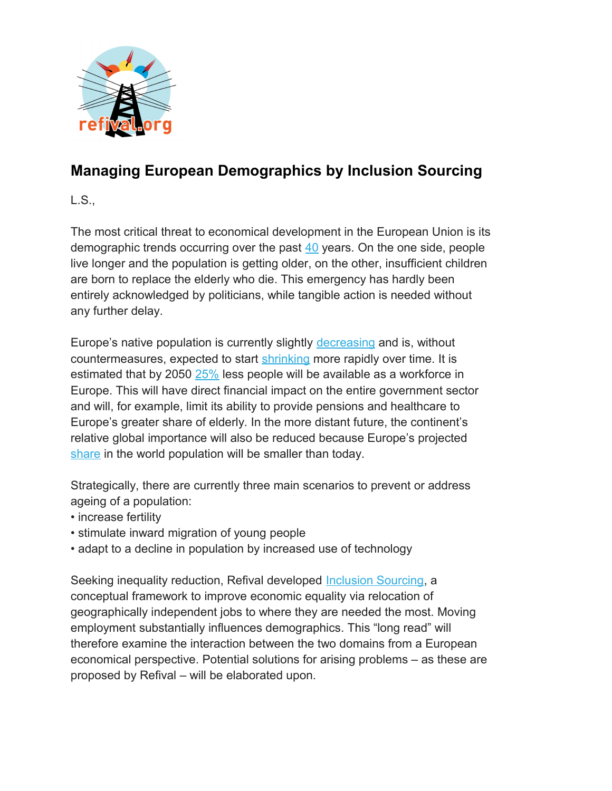

# **Managing European Demographics by Inclusion Sourcing**

L.S.,

The most critical threat to economical development in the European Union is its demographic trends occurring over the past [40](https://www.researchgate.net/figure/Decline-of-the-total-fertility-rate-TFR-and-population-Popul-Trends-in-TFR-left_fig1_316241850) years. On the one side, people live longer and the population is getting older, on the other, insufficient children are born to replace the elderly who die. This emergency has hardly been entirely acknowledged by politicians, while tangible action is needed without any further delay.

Europe's native population is currently slightly [decreasing](http://ec.europa.eu/eurostat/statistics-explained/index.php/Population_and_population_change_statistics) and is, without countermeasures, expected to start [shrinking](https://www.economist.com/blogs/graphicdetail/2017/07/daily-chart-6) more rapidly over time. It is estimated that by 2050 [25%](https://www.oecd.org/els/mig/Peschner.pdf#page=2) less people will be available as a workforce in Europe. This will have direct financial impact on the entire government sector and will, for example, limit its ability to provide pensions and healthcare to Europe's greater share of elderly. In the more distant future, the continent's relative global importance will also be reduced because Europe's projected [share](https://www.eea.europa.eu/data-and-maps/figures/regional-shares-of-world-population) in the world population will be smaller than today.

Strategically, there are currently three main scenarios to prevent or address ageing of a population:

- increase fertility
- stimulate inward migration of young people
- adapt to a decline in population by increased use of technology

Seeking inequality reduction, Refival developed [Inclusion Sourcing,](https://www.linkedin.com/pulse/addressing-structural-inequality-johannes-cornelis-van-nieuwkerk/) a conceptual framework to improve economic equality via relocation of geographically independent jobs to where they are needed the most. Moving employment substantially influences demographics. This "long read" will therefore examine the interaction between the two domains from a European economical perspective. Potential solutions for arising problems – as these are proposed by Refival – will be elaborated upon.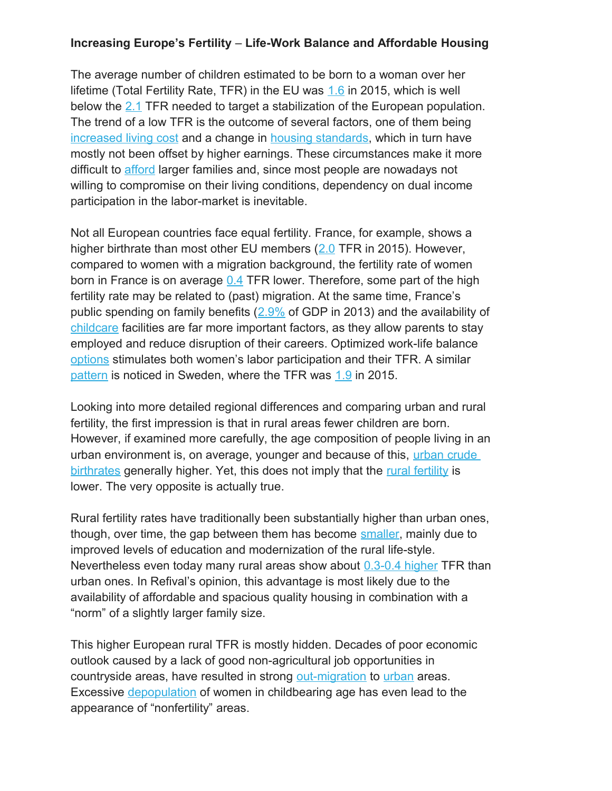### **Increasing Europe's Fertility** – **Life-Work Balance and Affordable Housing**

The average number of children estimated to be born to a woman over her lifetime (Total Fertility Rate, TFR) in the EU was [1.6](https://en.wikipedia.org/wiki/Demographics_of_the_European_Union) in 2015, which is well below the [2.1](https://en.wikipedia.org/wiki/Sub-replacement_fertility) TFR needed to target a stabilization of the European population. The trend of a low TFR is the outcome of several factors, one of them being [increased living cost](https://www.telegraph.co.uk/news/uknews/11360819/Average-cost-of-raising-a-child-in-UK-230000.html) and a change in [housing standards,](https://www.gesis.org/fileadmin/upload/forschung/publikationen/zeitschriften/isi/isi41-NollWeick-English.pdf) which in turn have mostly not been offset by higher earnings. These circumstances make it more difficult to [afford](https://www.theguardian.com/commentisfree/2017/apr/14/generation-child-career-afford-house-prices) larger families and, since most people are nowadays not willing to compromise on their living conditions, dependency on dual income participation in the labor-market is inevitable.

Not all European countries face equal fertility. France, for example, shows a higher birthrate than most other EU members [\(2.0](http://ec.europa.eu/eurostat/documents/2995521/7898237/3-08032017-AP-EN.pdf/b17c1516-faad-4e65-b291-187826a7ac88) TFR in 2015). However, compared to women with a migration background, the fertility rate of women born in France is on average [0.4](https://en.wikipedia.org/wiki/Demographics_of_France) TFR lower. Therefore, some part of the high fertility rate may be related to (past) migration. At the same time, France's public spending on family benefits  $(2.9\%$  of GDP in 2013) and the availability of [childcare](https://www.thecut.com/2016/06/france-has-more-babies-than-everybody-in-europe.html) facilities are far more important factors, as they allow parents to stay employed and reduce disruption of their careers. Optimized work-life balance [options](https://www.theguardian.com/world/2015/mar/21/france-population-europe-fertility-rate) stimulates both women's labor participation and their TFR. A similar [pattern](https://www.thelocal.se/20160316/swedes-are-europes-third-best-baby-makers) is noticed in Sweden, where the TFR was [1.9](http://ec.europa.eu/eurostat/documents/2995521/7898237/3-08032017-AP-EN.pdf/b17c1516-faad-4e65-b291-187826a7ac88) in 2015.

Looking into more detailed regional differences and comparing urban and rural fertility, the first impression is that in rural areas fewer children are born. However, if examined more carefully, the age composition of people living in an urban environment is, on average, younger and because of this, [urban crude](https://en.wikipedia.org/wiki/Birth_rate)  [birthrates](https://en.wikipedia.org/wiki/Birth_rate) generally higher. Yet, this does not imply that the [rural fertility](https://en.wikipedia.org/wiki/Total_fertility_rate) is lower. The very opposite is actually true.

Rural fertility rates have traditionally been substantially higher than urban ones, though, over time, the gap between them has become [smaller,](https://www.demogr.mpg.de/papers/working/wp-2004-022.pdf#page=41) mainly due to improved levels of education and modernization of the rural life-style. Nevertheless even today many rural areas show about [0.3-0.4 higher](https://www.sciencedirect.com/science/article/pii/S1040260814000021?via%3Dihub) TFR than urban ones. In Refival's opinion, this advantage is most likely due to the availability of affordable and spacious quality housing in combination with a "norm" of a slightly larger family size.

This higher European rural TFR is mostly hidden. Decades of poor economic outlook caused by a lack of good non-agricultural job opportunities in countryside areas, have resulted in strong [out-migration](https://www.eea.europa.eu/data-and-maps/indicators/total-population-outlook-from-unstat-3/assessment-1) to [urban](http://ec.europa.eu/eurostat/statistics-explained/index.php?title=File:Share_of_urban_and_rural_populations,_1950%E2%80%932050_(%C2%B9)_(%25_of_total_population)_Cities16.png) areas. Excessive [depopulation](https://www.theguardian.com/world/2015/aug/23/europe-rural-urban-migration-threat-countryside) of women in childbearing age has even lead to the appearance of "nonfertility" areas.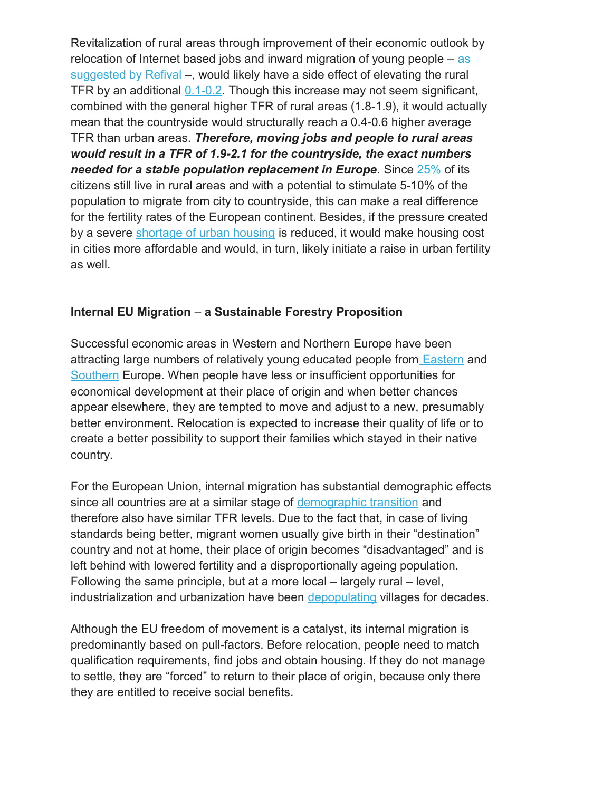Revitalization of rural areas through improvement of their economic outlook by relocation of Internet based jobs and inward migration of young people – [as](http://www.a1016.refival.org/)  [suggested by Refival](http://www.a1016.refival.org/) –, would likely have a side effect of elevating the rural TFR by an additional  $0.1$ -0.2. Though this increase may not seem significant, combined with the general higher TFR of rural areas (1.8-1.9), it would actually mean that the countryside would structurally reach a 0.4-0.6 higher average TFR than urban areas. *Therefore, moving jobs and people to rural areas would result in a TFR of 1.9-2.1 for the countryside, the exact numbers needed for a stable population replacement in Europe.* Since [25%](https://data.worldbank.org/indicator/SP.RUR.TOTL.ZS?page=1) of its citizens still live in rural areas and with a potential to stimulate 5-10% of the population to migrate from city to countryside, this can make a real difference for the fertility rates of the European continent. Besides, if the pressure created by a severe [shortage of urban housing](https://www.housing.org.uk/blog/is-there-a-housing-crisis-in-europe/) is reduced, it would make housing cost in cities more affordable and would, in turn, likely initiate a raise in urban fertility as well.

#### **Internal EU Migration** – **a Sustainable Forestry Proposition**

Successful economic areas in Western and Northern Europe have been attracting large numbers of relatively young educated people from **Eastern** and [Southern](https://www.telegraph.co.uk/news/worldnews/europe/italy/9993171/Southern-Europes-brain-drain-over-the-Alps-to-Germany.html) Europe. When people have less or insufficient opportunities for economical development at their place of origin and when better chances appear elsewhere, they are tempted to move and adjust to a new, presumably better environment. Relocation is expected to increase their quality of life or to create a better possibility to support their families which stayed in their native country.

For the European Union, internal migration has substantial demographic effects since all countries are at a similar stage of [demographic transition](https://en.wikipedia.org/wiki/Demographic_transition) and therefore also have similar TFR levels. Due to the fact that, in case of living standards being better, migrant women usually give birth in their "destination" country and not at home, their place of origin becomes "disadvantaged" and is left behind with lowered fertility and a disproportionally ageing population. Following the same principle, but at a more local – largely rural – level, industrialization and urbanization have been [depopulating](https://theconversation.com/who-will-breathe-life-back-into-europes-dying-villages-58942) villages for decades.

Although the EU freedom of movement is a catalyst, its internal migration is predominantly based on pull-factors. Before relocation, people need to match qualification requirements, find jobs and obtain housing. If they do not manage to settle, they are "forced" to return to their place of origin, because only there they are entitled to receive social benefits.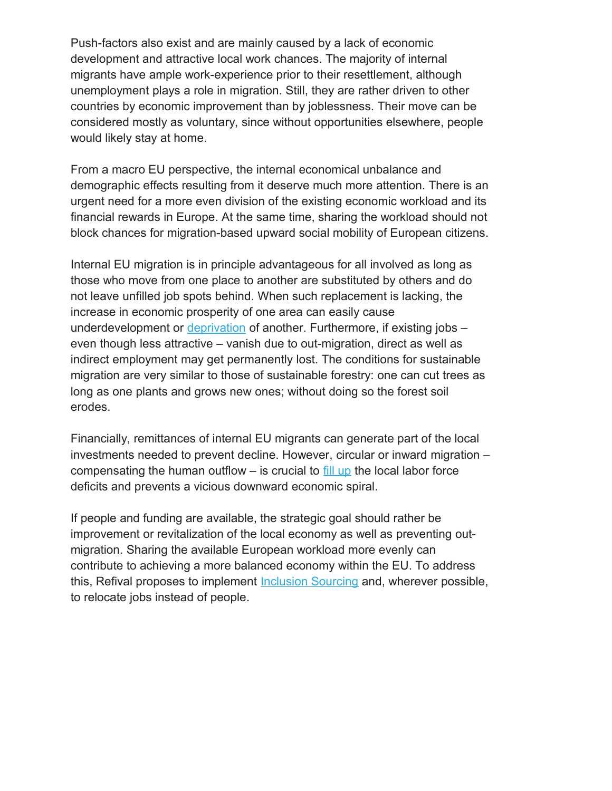Push-factors also exist and are mainly caused by a lack of economic development and attractive local work chances. The majority of internal migrants have ample work-experience prior to their resettlement, although unemployment plays a role in migration. Still, they are rather driven to other countries by economic improvement than by joblessness. Their move can be considered mostly as voluntary, since without opportunities elsewhere, people would likely stay at home.

From a macro EU perspective, the internal economical unbalance and demographic effects resulting from it deserve much more attention. There is an urgent need for a more even division of the existing economic workload and its financial rewards in Europe. At the same time, sharing the workload should not block chances for migration-based upward social mobility of European citizens.

Internal EU migration is in principle advantageous for all involved as long as those who move from one place to another are substituted by others and do not leave unfilled job spots behind. When such replacement is lacking, the increase in economic prosperity of one area can easily cause underdevelopment or [deprivation](https://www.economist.com/news/europe/21734391-bulgarias-population-shrinking-fast-and-its-people-are-reluctant-welcome-immigrants-if-hell) of another. Furthermore, if existing jobs even though less attractive – vanish due to out-migration, direct as well as indirect employment may get permanently lost. The conditions for sustainable migration are very similar to those of sustainable forestry: one can cut trees as long as one plants and grows new ones; without doing so the forest soil erodes.

Financially, remittances of internal EU migrants can generate part of the local investments needed to prevent decline. However, circular or inward migration – compensating the human outflow  $-$  is crucial to [fill up](https://www.economist.com/news/europe/21734391-bulgarias-population-shrinking-fast-and-its-people-are-reluctant-welcome-immigrants-if-hell) the local labor force deficits and prevents a vicious downward economic spiral.

If people and funding are available, the strategic goal should rather be improvement or revitalization of the local economy as well as preventing outmigration. Sharing the available European workload more evenly can contribute to achieving a more balanced economy within the EU. To address this, Refival proposes to implement **Inclusion Sourcing and, wherever possible**, to relocate jobs instead of people.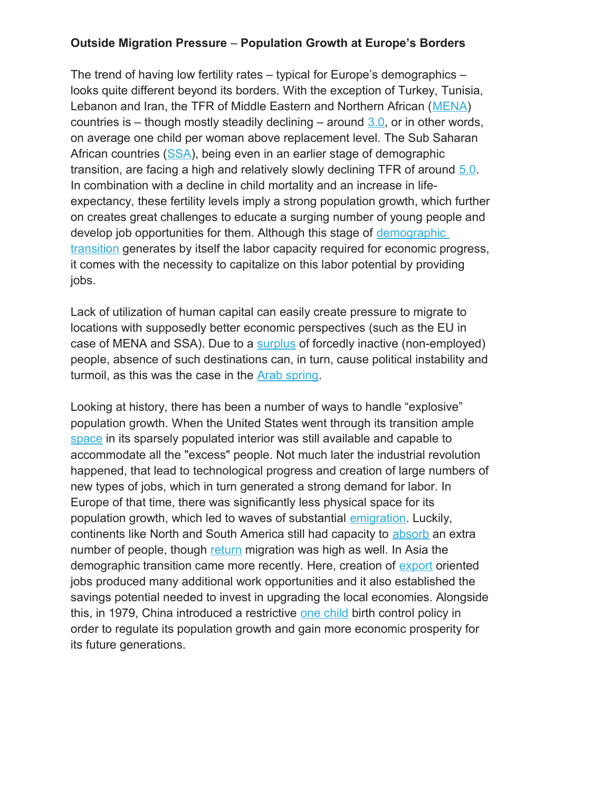### **Outside Migration Pressure** – **Population Growth at Europe's Borders**

The trend of having low fertility rates – typical for Europe's demographics – looks quite different beyond its borders. With the exception of Turkey, Tunisia, Lebanon and Iran, the TFR of Middle Eastern and Northern African [\(MENA\)](https://www.uni-bamberg.de/fileadmin/uni/fakultaeten/sowi_lehrstuehle/bevoelkerungswissenschaft/Publikationen/DiscussionPaper/mena_2017-08-01_DDP_20-2017.pdf) countries is – though mostly steadily declining – around  $3.0$ , or in other words, on average one child per woman above replacement level. The Sub Saharan African countries [\(SSA\)](https://openknowledge.worldbank.org/bitstream/handle/10986/22036/9781464804892.pdf?sequence=3&isAllowed=y), being even in an earlier stage of demographic transition, are facing a high and relatively slowly declining TFR of around [5.0.](https://fred.stlouisfed.org/series/SPDYNTFRTINSSA) In combination with a decline in child mortality and an increase in lifeexpectancy, these fertility levels imply a strong population growth, which further on creates great challenges to educate a surging number of young people and develop job opportunities for them. Although this stage of [demographic](https://en.wikipedia.org/wiki/Demographic_transition)  [transition](https://en.wikipedia.org/wiki/Demographic_transition) generates by itself the labor capacity required for economic progress, it comes with the necessity to capitalize on this labor potential by providing jobs.

Lack of utilization of human capital can easily create pressure to migrate to locations with supposedly better economic perspectives (such as the EU in case of MENA and SSA). Due to a [surplus](https://worldview.stratfor.com/article/youth-unemployment-middle-east-teen-jobless) of forcedly inactive (non-employed) people, absence of such destinations can, in turn, cause political instability and turmoil, as this was the case in the [Arab spring.](http://www.makingitmagazine.net/?p=6094)

Looking at history, there has been a number of ways to handle "explosive" population growth. When the United States went through its transition ample [space](https://en.wikipedia.org/wiki/Demographic_transition#United_States) in its sparsely populated interior was still available and capable to accommodate all the "excess" people. Not much later the industrial revolution happened, that lead to technological progress and creation of large numbers of new types of jobs, which in turn generated a strong demand for labor. In Europe of that time, there was significantly less physical space for its population growth, which led to waves of substantial [emigration.](https://en.wikipedia.org/wiki/European_emigration) Luckily, continents like North and South America still had capacity to [absorb](https://teacher.scholastic.com/activities/immigration/pdfs/by_region/region_table.pdf) an extra number of people, though [return](https://www.futurity.org/history-immigrants-norway-1547582-2/) migration was high as well. In Asia the demographic transition came more recently. Here, creation of [export](http://www.paftad.org/files/34/01_YANG%20YAO_Growth.pdf) oriented jobs produced many additional work opportunities and it also established the savings potential needed to invest in upgrading the local economies. Alongside this, in 1979, China introduced a restrictive [one child](https://en.wikipedia.org/wiki/One-child_policy) birth control policy in order to regulate its population growth and gain more economic prosperity for its future generations.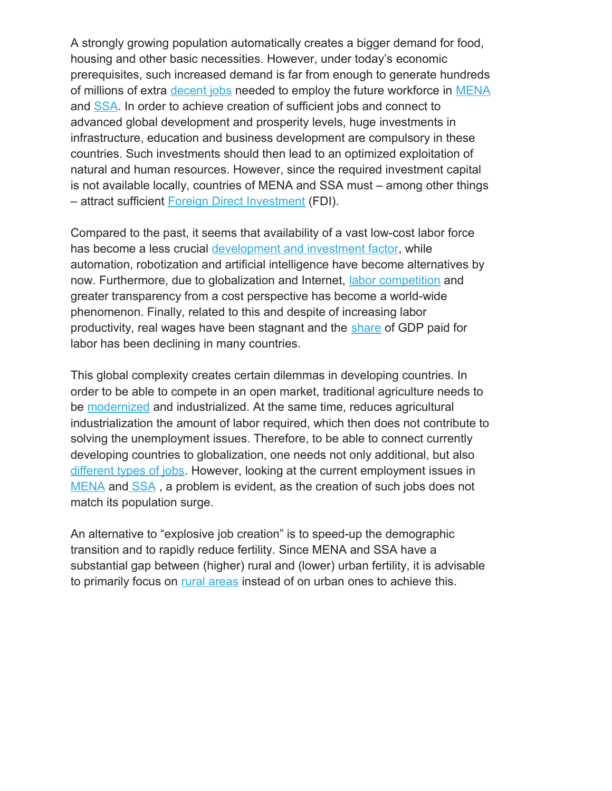A strongly growing population automatically creates a bigger demand for food, housing and other basic necessities. However, under today's economic prerequisites, such increased demand is far from enough to generate hundreds of millions of extra [decent jobs](http://www.ilo.org/global/topics/decent-work/lang--en/index.htm) needed to employ the future workforce in [MENA](http://documents.worldbank.org/curated/en/343121468753030506/pdf/288150PAPER0Unlocking0employment.pdf) and [SSA.](https://www.ft.com/content/a2ccd284-5668-11e7-80b6-9bfa4c1f83d2) In order to achieve creation of sufficient jobs and connect to advanced global development and prosperity levels, huge investments in infrastructure, education and business development are compulsory in these countries. Such investments should then lead to an optimized exploitation of natural and human resources. However, since the required investment capital is not available locally, countries of MENA and SSA must – among other things – attract sufficient [Foreign Direct Investment](http://unctad.org/en/PublicationsLibrary/wir2017_en.pdf) (FDI).

Compared to the past, it seems that availability of a vast low-cost labor force has become a less crucial [development and investment factor,](https://www.bloomberg.com/view/articles/2017-04-24/cracking-the-mystery-of-labor-s-falling-share-of-gdp) while automation, robotization and artificial intelligence have become alternatives by now. Furthermore, due to globalization and Internet, [labor competition](http://siteresources.worldbank.org/EXTAFRSUMAFTPS/Resources/chapter4.pdf) and greater transparency from a cost perspective has become a world-wide phenomenon. Finally, related to this and despite of increasing labor productivity, real wages have been stagnant and the [share](https://www.oecd.org/g20/topics/employment-and-social-policy/The-Labour-Share-in-G20-Economies.pdf) of GDP paid for labor has been declining in many countries.

This global complexity creates certain dilemmas in developing countries. In order to be able to compete in an open market, traditional agriculture needs to be [modernized](https://ac.els-cdn.com/S0305750X15002302/1-s2.0-S0305750X15002302-main.pdf?_tid=154110ae-6b3b-49f9-a9f0-fe551fd7e782&acdnat=1523802266_08f899b6947079a5260a82a3540ec525) and industrialized. At the same time, reduces agricultural industrialization the amount of labor required, which then does not contribute to solving the unemployment issues. Therefore, to be able to connect currently developing countries to globalization, one needs not only additional, but also [different types of jobs.](https://ac.els-cdn.com/S0306919214000888/1-s2.0-S0306919214000888-main.pdf?_tid=04461cd7-37d1-497d-a072-e87030a9c864&acdnat=1523803242_227fb167fc9f870c2cf0b820e58883e6) However, looking at the current employment issues in [MENA](https://www.forbes.com/sites/suparnadutt/2017/05/11/can-startups-drive-new-job-growth-in-the-mena-region-where-youth-unemployment-rate-is-30/#26c413b234f4) an[d SSA](http://www.theeastafrican.co.ke/business/SubSaharan-Africa-unemployment/2560-3808378-bp8m5g/index.html) , a problem is evident, as the creation of such jobs does not match its population surge.

An alternative to "explosive job creation" is to speed-up the demographic transition and to rapidly reduce fertility. Since MENA and SSA have a substantial gap between (higher) rural and (lower) urban fertility, it is advisable to primarily focus on [rural areas](https://www.odi.org/sites/odi.org.uk/files/resource-documents/10374.pdf) instead of on urban ones to achieve this.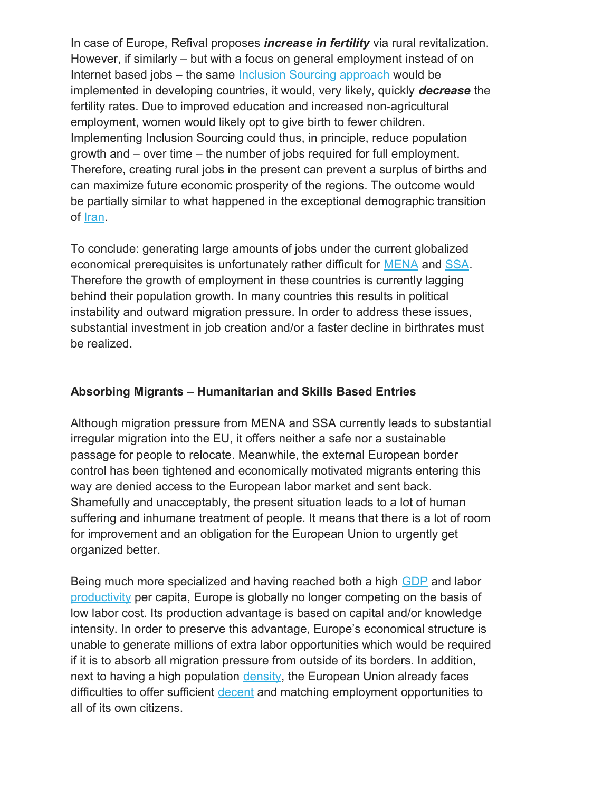In case of Europe, Refival proposes *increase in fertility* via rural revitalization. However, if similarly – but with a focus on general employment instead of on Internet based jobs – the same [Inclusion Sourcing approach](http://www.n0717.refival.org/) would be implemented in developing countries, it would, very likely, quickly *decrease* the fertility rates. Due to improved education and increased non-agricultural employment, women would likely opt to give birth to fewer children. Implementing Inclusion Sourcing could thus, in principle, reduce population growth and – over time – the number of jobs required for full employment. Therefore, creating rural jobs in the present can prevent a surplus of births and can maximize future economic prosperity of the regions. The outcome would be partially similar to what happened in the exceptional demographic transition of [Iran.](https://www.newsecuritybeat.org/2012/01/building-commitment-to-family-planning-iran/)

To conclude: generating large amounts of jobs under the current globalized economical prerequisites is unfortunately rather difficult for [MENA](http://www.iai.it/sites/default/files/menara_wp_3.pdf) and [SSA.](http://africanbusinessmagazine.com/interviews/youth-unemployment-africas-greatest-challenge-says-tony-elumelu/) Therefore the growth of employment in these countries is currently lagging behind their population growth. In many countries this results in political instability and outward migration pressure. In order to address these issues, substantial investment in job creation and/or a faster decline in birthrates must be realized.

## **Absorbing Migrants** – **Humanitarian and Skills Based Entries**

Although migration pressure from MENA and SSA currently leads to substantial irregular migration into the EU, it offers neither a safe nor a sustainable passage for people to relocate. Meanwhile, the external European border control has been tightened and economically motivated migrants entering this way are denied access to the European labor market and sent back. Shamefully and unacceptably, the present situation leads to a lot of human suffering and inhumane treatment of people. It means that there is a lot of room for improvement and an obligation for the European Union to urgently get organized better.

Being much more specialized and having reached both a high [GDP](https://en.wikipedia.org/wiki/Economy_of_the_European_Union) and labor [productivity](https://en.wikipedia.org/wiki/List_of_countries_by_GDP_(PPP)_per_hour_worked) per capita, Europe is globally no longer competing on the basis of low labor cost. Its production advantage is based on capital and/or knowledge intensity. In order to preserve this advantage, Europe's economical structure is unable to generate millions of extra labor opportunities which would be required if it is to absorb all migration pressure from outside of its borders. In addition, next to having a high population [density,](https://www.citymetric.com/fabric/these-maps-reveal-truth-about-population-density-across-europe-3625) the European Union already faces difficulties to offer sufficient [decent](http://www.ilo.org/global/topics/decent-work/lang--en/index.htm) and matching employment opportunities to all of its own citizens.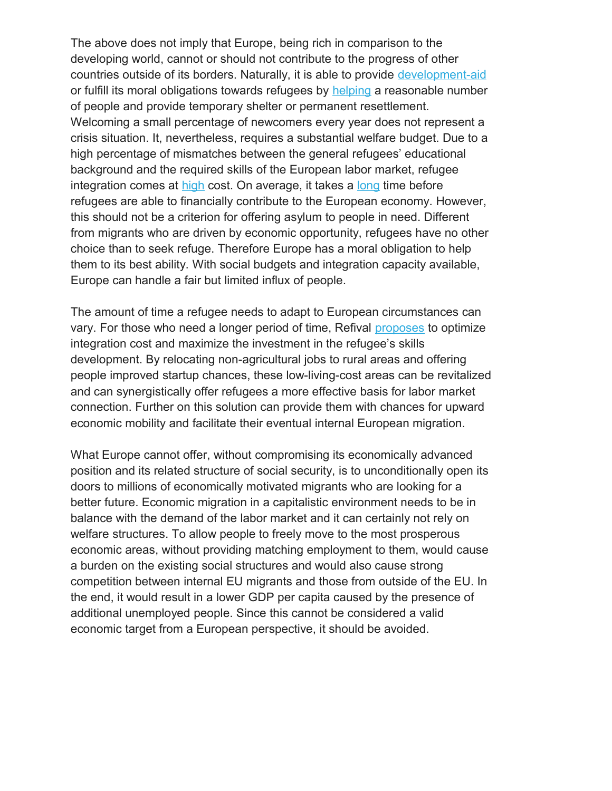The above does not imply that Europe, being rich in comparison to the developing world, cannot or should not contribute to the progress of other countries outside of its borders. Naturally, it is able to provide [development-aid](http://ec.europa.eu/eurostat/web/products-eurostat-news/-/EDN-20170817-1?inheritRedirect=true) or fulfill its moral obligations towards refugees by [helping](https://www.georgesoros.com/2016/07/19/this-is-europes-last-chance-to-fix-its-refugee-policy/) a reasonable number of people and provide temporary shelter or permanent resettlement. Welcoming a small percentage of newcomers every year does not represent a crisis situation. It, nevertheless, requires a substantial welfare budget. Due to a high percentage of mismatches between the general refugees' educational background and the required skills of the European labor market, refugee integration comes at [high](http://www.dw.com/en/report-germany-to-spend-94-billion-euros-on-refugees-in-next-five-years/a-19258420) cost. On average, it takes a [long](https://wenr.wes.org/2017/05/lessons-germanys-refugee-crisis-integration-costs-benefits) time before refugees are able to financially contribute to the European economy. However, this should not be a criterion for offering asylum to people in need. Different from migrants who are driven by economic opportunity, refugees have no other choice than to seek refuge. Therefore Europe has a moral obligation to help them to its best ability. With social budgets and integration capacity available, Europe can handle a fair but limited influx of people.

The amount of time a refugee needs to adapt to European circumstances can vary. For those who need a longer period of time, Refival [proposes](https://www.linkedin.com/pulse/refugee-employment-call-action-johannes-cornelis-van-nieuwkerk/) to optimize integration cost and maximize the investment in the refugee's skills development. By relocating non-agricultural jobs to rural areas and offering people improved startup chances, these low-living-cost areas can be revitalized and can synergistically offer refugees a more effective basis for labor market connection. Further on this solution can provide them with chances for upward economic mobility and facilitate their eventual internal European migration.

What Europe cannot offer, without compromising its economically advanced position and its related structure of social security, is to unconditionally open its doors to millions of economically motivated migrants who are looking for a better future. Economic migration in a capitalistic environment needs to be in balance with the demand of the labor market and it can certainly not rely on welfare structures. To allow people to freely move to the most prosperous economic areas, without providing matching employment to them, would cause a burden on the existing social structures and would also cause strong competition between internal EU migrants and those from outside of the EU. In the end, it would result in a lower GDP per capita caused by the presence of additional unemployed people. Since this cannot be considered a valid economic target from a European perspective, it should be avoided.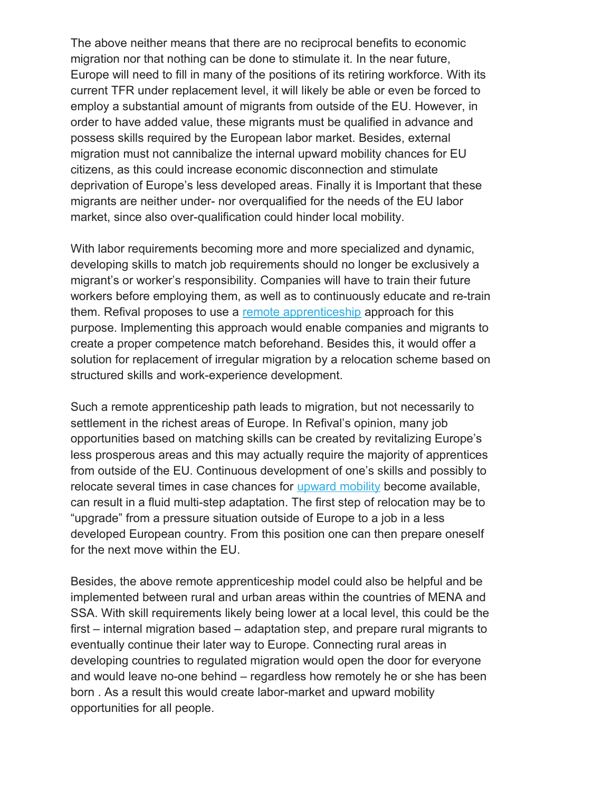The above neither means that there are no reciprocal benefits to economic migration nor that nothing can be done to stimulate it. In the near future, Europe will need to fill in many of the positions of its retiring workforce. With its current TFR under replacement level, it will likely be able or even be forced to employ a substantial amount of migrants from outside of the EU. However, in order to have added value, these migrants must be qualified in advance and possess skills required by the European labor market. Besides, external migration must not cannibalize the internal upward mobility chances for EU citizens, as this could increase economic disconnection and stimulate deprivation of Europe's less developed areas. Finally it is Important that these migrants are neither under- nor overqualified for the needs of the EU labor market, since also over-qualification could hinder local mobility.

With labor requirements becoming more and more specialized and dynamic, developing skills to match job requirements should no longer be exclusively a migrant's or worker's responsibility. Companies will have to train their future workers before employing them, as well as to continuously educate and re-train them. Refival proposes to use a [remote apprenticeship](https://www.linkedin.com/pulse/internet-based-apprenticeship-new-paradigm-rural-van-nieuwkerk/) approach for this purpose. Implementing this approach would enable companies and migrants to create a proper competence match beforehand. Besides this, it would offer a solution for replacement of irregular migration by a relocation scheme based on structured skills and work-experience development.

Such a remote apprenticeship path leads to migration, but not necessarily to settlement in the richest areas of Europe. In Refival's opinion, many job opportunities based on matching skills can be created by revitalizing Europe's less prosperous areas and this may actually require the majority of apprentices from outside of the EU. Continuous development of one's skills and possibly to relocate several times in case chances for [upward mobility](https://www.linkedin.com/pulse/upward-mobility-social-inclusion-johannes-cornelis-van-nieuwkerk/) become available, can result in a fluid multi-step adaptation. The first step of relocation may be to "upgrade" from a pressure situation outside of Europe to a job in a less developed European country. From this position one can then prepare oneself for the next move within the EU.

Besides, the above remote apprenticeship model could also be helpful and be implemented between rural and urban areas within the countries of MENA and SSA. With skill requirements likely being lower at a local level, this could be the first – internal migration based – adaptation step, and prepare rural migrants to eventually continue their later way to Europe. Connecting rural areas in developing countries to regulated migration would open the door for everyone and would leave no-one behind – regardless how remotely he or she has been born . As a result this would create labor-market and upward mobility opportunities for all people.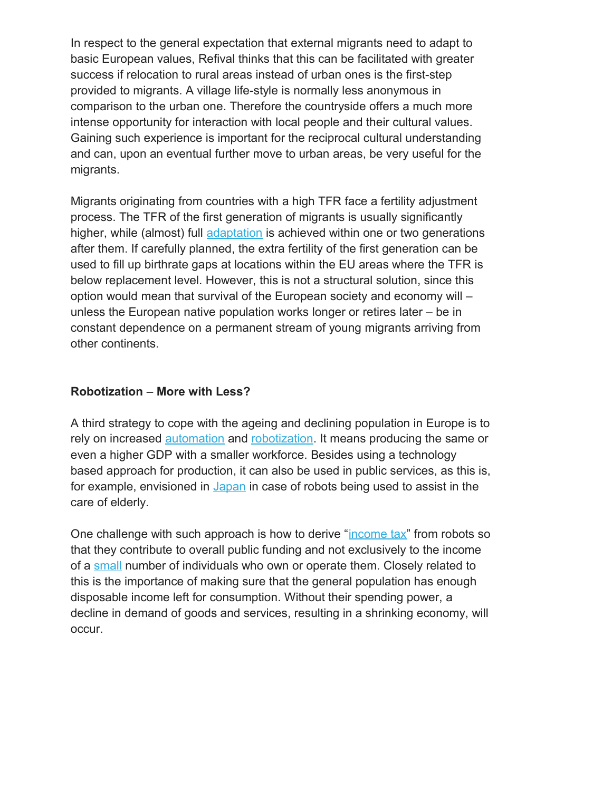In respect to the general expectation that external migrants need to adapt to basic European values, Refival thinks that this can be facilitated with greater success if relocation to rural areas instead of urban ones is the first-step provided to migrants. A village life-style is normally less anonymous in comparison to the urban one. Therefore the countryside offers a much more intense opportunity for interaction with local people and their cultural values. Gaining such experience is important for the reciprocal cultural understanding and can, upon an eventual further move to urban areas, be very useful for the migrants.

Migrants originating from countries with a high TFR face a fertility adjustment process. The TFR of the first generation of migrants is usually significantly higher, while (almost) full [adaptation](http://nationalpost.com/opinion/book-excerpt-the-muslim-tide-that-wasnt) is achieved within one or two generations after them. If carefully planned, the extra fertility of the first generation can be used to fill up birthrate gaps at locations within the EU areas where the TFR is below replacement level. However, this is not a structural solution, since this option would mean that survival of the European society and economy will – unless the European native population works longer or retires later – be in constant dependence on a permanent stream of young migrants arriving from other continents.

## **Robotization** – **More with Less?**

A third strategy to cope with the ageing and declining population in Europe is to rely on increased [automation](http://www3.weforum.org/docs/WEF_Future_of_Jobs.pdf) and [robotization.](https://www.mckinsey.com/business-functions/digital-mckinsey/our-insights/four-fundamentals-of-workplace-automation) It means producing the same or even a higher GDP with a smaller workforce. Besides using a technology based approach for production, it can also be used in public services, as this is, for example, envisioned in [Japan](https://www.theguardian.com/world/2018/feb/06/japan-robots-will-care-for-80-of-elderly-by-2020) in case of robots being used to assist in the care of elderly.

One challenge with such approach is how to derive ["income tax"](https://www.theguardian.com/business/2017/mar/22/robots-tax-bill-gates-income-inequality) from robots so that they contribute to overall public funding and not exclusively to the income of a [small](http://wir2018.wid.world/files/download/wir2018-full-report-english.pdf#page=15) number of individuals who own or operate them. Closely related to this is the importance of making sure that the general population has enough disposable income left for consumption. Without their spending power, a decline in demand of goods and services, resulting in a shrinking economy, will occur.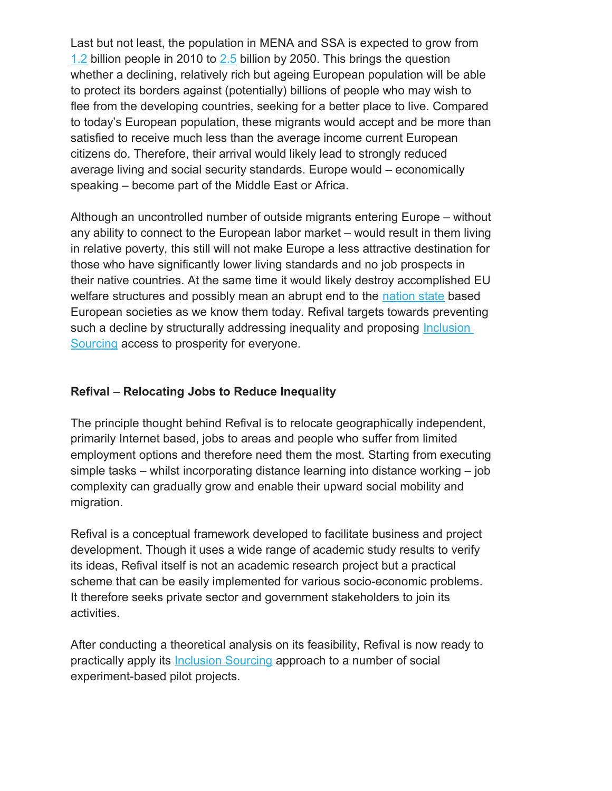Last but not least, the population in MENA and SSA is expected to grow from [1.2](http://www.pewforum.org/2015/04/02/religious-projection-table/) billion people in 2010 to [2.5](http://www.pewforum.org/2015/04/02/religious-projection-table/) billion by 2050. This brings the question whether a declining, relatively rich but ageing European population will be able to protect its borders against (potentially) billions of people who may wish to flee from the developing countries, seeking for a better place to live. Compared to today's European population, these migrants would accept and be more than satisfied to receive much less than the average income current European citizens do. Therefore, their arrival would likely lead to strongly reduced average living and social security standards. Europe would – economically speaking – become part of the Middle East or Africa.

Although an uncontrolled number of outside migrants entering Europe – without any ability to connect to the European labor market – would result in them living in relative poverty, this still will not make Europe a less attractive destination for those who have significantly lower living standards and no job prospects in their native countries. At the same time it would likely destroy accomplished EU welfare structures and possibly mean an abrupt end to the [nation state](http://www.theguardian.com/news/2018/apr/05/demise-of-the-nation-state-rana-dasgupta) based European societies as we know them today. Refival targets towards preventing such a decline by structurally addressing inequality and proposing Inclusion [Sourcing](https://www.linkedin.com/pulse/addressing-structural-inequality-johannes-cornelis-van-nieuwkerk/) access to prosperity for everyone.

## **Refival** – **Relocating Jobs to Reduce Inequality**

The principle thought behind Refival is to relocate geographically independent, primarily Internet based, jobs to areas and people who suffer from limited employment options and therefore need them the most. Starting from executing simple tasks – whilst incorporating distance learning into distance working – job complexity can gradually grow and enable their upward social mobility and migration.

Refival is a conceptual framework developed to facilitate business and project development. Though it uses a wide range of academic study results to verify its ideas, Refival itself is not an academic research project but a practical scheme that can be easily implemented for various socio-economic problems. It therefore seeks private sector and government stakeholders to join its activities.

After conducting a theoretical analysis on its feasibility, Refival is now ready to practically apply its [Inclusion Sourcing](https://www.linkedin.com/pulse/addressing-structural-inequality-johannes-cornelis-van-nieuwkerk/) approach to a number of social experiment-based pilot projects.